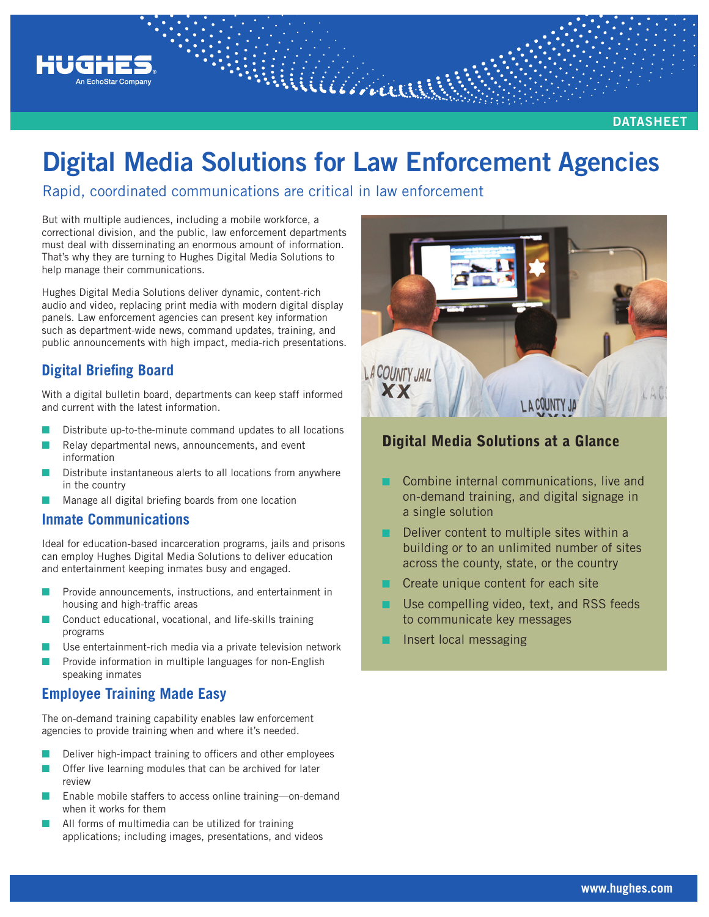

# **Digital Media Solutions for Law Enforcement Agencies**

Rapid, coordinated communications are critical in law enforcement

But with multiple audiences, including a mobile workforce, a correctional division, and the public, law enforcement departments must deal with disseminating an enormous amount of information. That's why they are turning to Hughes Digital Media Solutions to help manage their communications.

Hughes Digital Media Solutions deliver dynamic, content-rich audio and video, replacing print media with modern digital display panels. Law enforcement agencies can present key information such as department-wide news, command updates, training, and public announcements with high impact, media-rich presentations.

# **Digital Briefing Board**

With a digital bulletin board, departments can keep staff informed and current with the latest information.

- Distribute up-to-the-minute command updates to all locations
- Relay departmental news, announcements, and event information
- Distribute instantaneous alerts to all locations from anywhere in the country
- Manage all digital briefing boards from one location

#### **Inmate Communications**

Ideal for education-based incarceration programs, jails and prisons can employ Hughes Digital Media Solutions to deliver education and entertainment keeping inmates busy and engaged.

- Provide announcements, instructions, and entertainment in housing and high-traffic areas
- Conduct educational, vocational, and life-skills training programs
- Use entertainment-rich media via a private television network
- Provide information in multiple languages for non-English speaking inmates

## **Employee Training Made Easy**

The on-demand training capability enables law enforcement agencies to provide training when and where it's needed.

- Deliver high-impact training to officers and other employees
- Offer live learning modules that can be archived for later review
- Enable mobile staffers to access online training—on-demand when it works for them
- All forms of multimedia can be utilized for training applications; including images, presentations, and videos



# Digital Media Solutions at a Glance

- Combine internal communications, live and on-demand training, and digital signage in a single solution
- Deliver content to multiple sites within a building or to an unlimited number of sites across the county, state, or the country
- Create unique content for each site
- Use compelling video, text, and RSS feeds to communicate key messages
- Insert local messaging